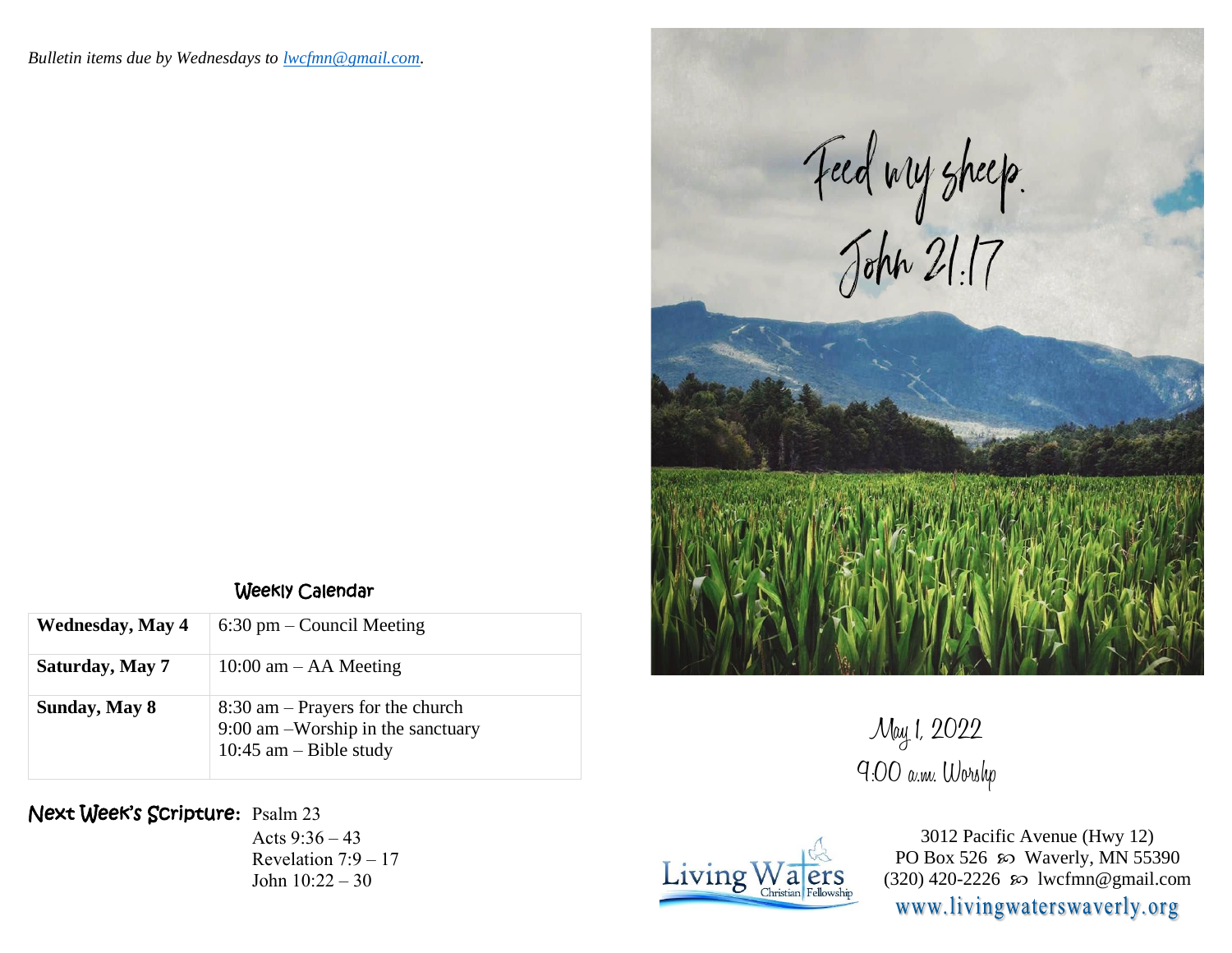

Weekly Calendar

| <b>Wednesday, May 4</b> | $6:30 \text{ pm} - \text{Count}$ Meeting                                                            |
|-------------------------|-----------------------------------------------------------------------------------------------------|
| Saturday, May 7         | $10:00$ am $-$ AA Meeting                                                                           |
| Sunday, May 8           | $8:30$ am – Prayers for the church<br>9:00 am -Worship in the sanctuary<br>10:45 am $-$ Bible study |

Next Week's Scripture**:** Psalm 23

Acts 9:36 – 43 Revelation 7:9 – 17 John 10:22 – 30





3012 Pacific Avenue (Hwy 12) PO Box 526  $\infty$  Waverly, MN 55390 (320) 420-2226 so lwcfmn@gmail.com www.livingwaterswaverly.org